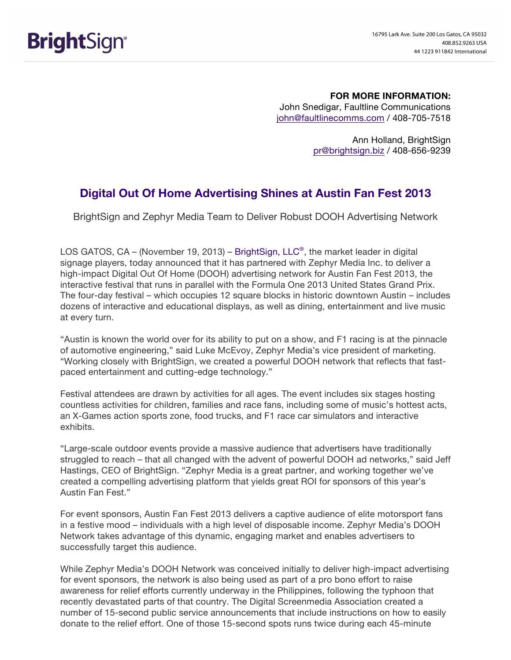**FOR MORE INFORMATION:** John Snedigar, Faultline Communications john@faultlinecomms.com / 408-705-7518

> Ann Holland, BrightSign pr@brightsign.biz / 408-656-9239

## **Digital Out Of Home Advertising Shines at Austin Fan Fest 2013**

BrightSign and Zephyr Media Team to Deliver Robust DOOH Advertising Network

LOS GATOS, CA – (November 19, 2013) – BrightSign, LLC®, the market leader in digital signage players, today announced that it has partnered with Zephyr Media Inc. to deliver a high-impact Digital Out Of Home (DOOH) advertising network for Austin Fan Fest 2013, the interactive festival that runs in parallel with the Formula One 2013 United States Grand Prix. The four-day festival – which occupies 12 square blocks in historic downtown Austin – includes dozens of interactive and educational displays, as well as dining, entertainment and live music at every turn.

"Austin is known the world over for its ability to put on a show, and F1 racing is at the pinnacle of automotive engineering," said Luke McEvoy, Zephyr Media's vice president of marketing. "Working closely with BrightSign, we created a powerful DOOH network that reflects that fastpaced entertainment and cutting-edge technology."

Festival attendees are drawn by activities for all ages. The event includes six stages hosting countless activities for children, families and race fans, including some of music's hottest acts, an X-Games action sports zone, food trucks, and F1 race car simulators and interactive exhibits.

"Large-scale outdoor events provide a massive audience that advertisers have traditionally struggled to reach – that all changed with the advent of powerful DOOH ad networks," said Jeff Hastings, CEO of BrightSign. "Zephyr Media is a great partner, and working together we've created a compelling advertising platform that yields great ROI for sponsors of this year's Austin Fan Fest."

For event sponsors, Austin Fan Fest 2013 delivers a captive audience of elite motorsport fans in a festive mood – individuals with a high level of disposable income. Zephyr Media's DOOH Network takes advantage of this dynamic, engaging market and enables advertisers to successfully target this audience.

While Zephyr Media's DOOH Network was conceived initially to deliver high-impact advertising for event sponsors, the network is also being used as part of a pro bono effort to raise awareness for relief efforts currently underway in the Philippines, following the typhoon that recently devastated parts of that country. The Digital Screenmedia Association created a number of 15-second public service announcements that include instructions on how to easily donate to the relief effort. One of those 15-second spots runs twice during each 45-minute